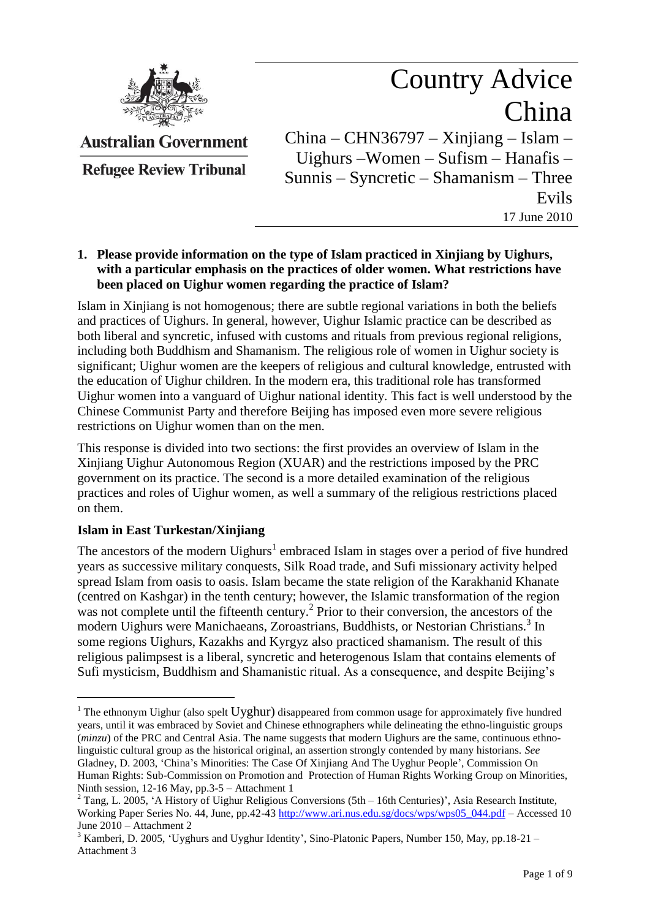

Country Advice China China – CHN36797 – Xinjiang – Islam –

**Australian Government** 

**Refugee Review Tribunal** 

Uighurs –Women – Sufism – Hanafis – Sunnis – Syncretic – Shamanism – Three Evils 17 June 2010

## **1. Please provide information on the type of Islam practiced in Xinjiang by Uighurs, with a particular emphasis on the practices of older women. What restrictions have been placed on Uighur women regarding the practice of Islam?**

Islam in Xinjiang is not homogenous; there are subtle regional variations in both the beliefs and practices of Uighurs. In general, however, Uighur Islamic practice can be described as both liberal and syncretic, infused with customs and rituals from previous regional religions, including both Buddhism and Shamanism. The religious role of women in Uighur society is significant; Uighur women are the keepers of religious and cultural knowledge, entrusted with the education of Uighur children. In the modern era, this traditional role has transformed Uighur women into a vanguard of Uighur national identity. This fact is well understood by the Chinese Communist Party and therefore Beijing has imposed even more severe religious restrictions on Uighur women than on the men.

This response is divided into two sections: the first provides an overview of Islam in the Xinjiang Uighur Autonomous Region (XUAR) and the restrictions imposed by the PRC government on its practice. The second is a more detailed examination of the religious practices and roles of Uighur women, as well a summary of the religious restrictions placed on them.

## **Islam in East Turkestan/Xinjiang**

 $\overline{a}$ 

The ancestors of the modern Uighurs<sup>1</sup> embraced Islam in stages over a period of five hundred years as successive military conquests, Silk Road trade, and Sufi missionary activity helped spread Islam from oasis to oasis. Islam became the state religion of the Karakhanid Khanate (centred on Kashgar) in the tenth century; however, the Islamic transformation of the region was not complete until the fifteenth century.<sup>2</sup> Prior to their conversion, the ancestors of the modern Uighurs were Manichaeans, Zoroastrians, Buddhists, or Nestorian Christians. 3 In some regions Uighurs, Kazakhs and Kyrgyz also practiced shamanism. The result of this religious palimpsest is a liberal, syncretic and heterogenous Islam that contains elements of Sufi mysticism, Buddhism and Shamanistic ritual. As a consequence, and despite Beijing"s

<sup>&</sup>lt;sup>1</sup> The ethnonym Uighur (also spelt Uyghur) disappeared from common usage for approximately five hundred years, until it was embraced by Soviet and Chinese ethnographers while delineating the ethno-linguistic groups (*minzu*) of the PRC and Central Asia. The name suggests that modern Uighurs are the same, continuous ethnolinguistic cultural group as the historical original, an assertion strongly contended by many historians. *See* Gladney, D. 2003, "China"s Minorities: The Case Of Xinjiang And The Uyghur People", Commission On Human Rights: Sub-Commission on Promotion and Protection of Human Rights Working Group on Minorities, Ninth session, 12-16 May, pp.3-5 – Attachment 1

 $2$  Tang, L. 2005, 'A History of Uighur Religious Conversions (5th – 16th Centuries)', Asia Research Institute, Working Paper Series No. 44, June, pp.42-43 [http://www.ari.nus.edu.sg/docs/wps/wps05\\_044.pdf](http://www.ari.nus.edu.sg/docs/wps/wps05_044.pdf) – Accessed 10 June 2010 – Attachment 2

<sup>&</sup>lt;sup>3</sup> Kamberi, D. 2005, 'Uyghurs and Uyghur Identity', Sino-Platonic Papers, Number 150, May, pp.18-21 – Attachment 3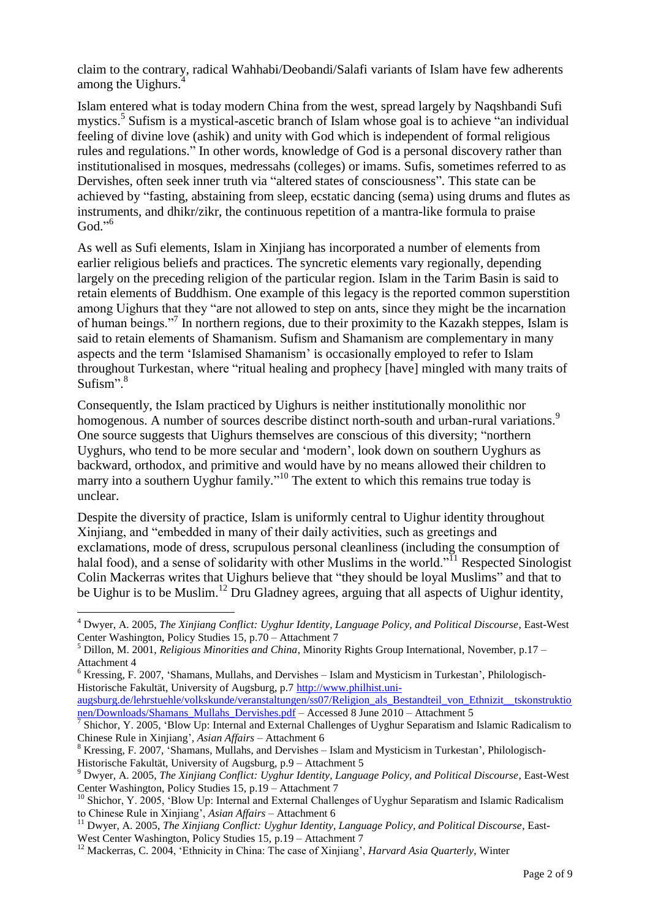claim to the contrary, radical Wahhabi/Deobandi/Salafi variants of Islam have few adherents among the Uighurs.

Islam entered what is today modern China from the west, spread largely by Naqshbandi Sufi mystics.<sup>5</sup> Sufism is a mystical-ascetic branch of Islam whose goal is to achieve "an individual feeling of divine love (ashik) and unity with God which is independent of formal religious rules and regulations." In other words, knowledge of God is a personal discovery rather than institutionalised in mosques, medressahs (colleges) or imams. Sufis, sometimes referred to as Dervishes, often seek inner truth via "altered states of consciousness". This state can be achieved by "fasting, abstaining from sleep, ecstatic dancing (sema) using drums and flutes as instruments, and dhikr/zikr, the continuous repetition of a mantra-like formula to praise God." $\rm ^{6}$ 

As well as Sufi elements, Islam in Xinjiang has incorporated a number of elements from earlier religious beliefs and practices. The syncretic elements vary regionally, depending largely on the preceding religion of the particular region. Islam in the Tarim Basin is said to retain elements of Buddhism. One example of this legacy is the reported common superstition among Uighurs that they "are not allowed to step on ants, since they might be the incarnation of human beings."<sup>7</sup> In northern regions, due to their proximity to the Kazakh steppes, Islam is said to retain elements of Shamanism. Sufism and Shamanism are complementary in many aspects and the term "Islamised Shamanism" is occasionally employed to refer to Islam throughout Turkestan, where "ritual healing and prophecy [have] mingled with many traits of Sufism".<sup>8</sup>

Consequently, the Islam practiced by Uighurs is neither institutionally monolithic nor homogenous. A number of sources describe distinct north-south and urban-rural variations.<sup>9</sup> One source suggests that Uighurs themselves are conscious of this diversity; "northern Uyghurs, who tend to be more secular and "modern", look down on southern Uyghurs as backward, orthodox, and primitive and would have by no means allowed their children to marry into a southern Uyghur family."<sup>10</sup> The extent to which this remains true today is unclear.

Despite the diversity of practice, Islam is uniformly central to Uighur identity throughout Xinjiang, and "embedded in many of their daily activities, such as greetings and exclamations, mode of dress, scrupulous personal cleanliness (including the consumption of halal food), and a sense of solidarity with other Muslims in the world."<sup>11</sup> Respected Sinologist Colin Mackerras writes that Uighurs believe that "they should be loyal Muslims" and that to be Uighur is to be Muslim.<sup>12</sup> Dru Gladney agrees, arguing that all aspects of Uighur identity,

 $\overline{a}$ 

[augsburg.de/lehrstuehle/volkskunde/veranstaltungen/ss07/Religion\\_als\\_Bestandteil\\_von\\_Ethnizit\\_\\_tskonstruktio](http://www.philhist.uni-augsburg.de/lehrstuehle/volkskunde/veranstaltungen/ss07/Religion_als_Bestandteil_von_Ethnizit__tskonstruktionen/Downloads/Shamans_Mullahs_Dervishes.pdf) [nen/Downloads/Shamans\\_Mullahs\\_Dervishes.pdf](http://www.philhist.uni-augsburg.de/lehrstuehle/volkskunde/veranstaltungen/ss07/Religion_als_Bestandteil_von_Ethnizit__tskonstruktionen/Downloads/Shamans_Mullahs_Dervishes.pdf) – Accessed 8 June 2010 – Attachment 5

<sup>4</sup> Dwyer, A. 2005, *The Xinjiang Conflict: Uyghur Identity, Language Policy, and Political Discourse*, East-West Center Washington, Policy Studies 15, p.70 – Attachment 7

<sup>5</sup> Dillon, M. 2001, *Religious Minorities and China*, Minority Rights Group International, November, p.17 – Attachment 4

 $6$  Kressing, F. 2007, 'Shamans, Mullahs, and Dervishes – Islam and Mysticism in Turkestan', Philologisch-Historische Fakultät, University of Augsburg, p.[7 http://www.philhist.uni-](http://www.philhist.uni-augsburg.de/lehrstuehle/volkskunde/veranstaltungen/ss07/Religion_als_Bestandteil_von_Ethnizit__tskonstruktionen/Downloads/Shamans_Mullahs_Dervishes.pdf)

<sup>&</sup>lt;sup>7</sup> Shichor, Y. 2005, 'Blow Up: Internal and External Challenges of Uyghur Separatism and Islamic Radicalism to Chinese Rule in Xinjiang", *Asian Affairs* – Attachment 6

 $8$  Kressing, F. 2007, 'Shamans, Mullahs, and Dervishes – Islam and Mysticism in Turkestan', Philologisch-Historische Fakultät, University of Augsburg, p.9 – Attachment 5

<sup>9</sup> Dwyer, A. 2005, *The Xinjiang Conflict: Uyghur Identity, Language Policy, and Political Discourse*, East-West Center Washington, Policy Studies 15, p.19 – Attachment 7

<sup>&</sup>lt;sup>10</sup> Shichor, Y. 2005, 'Blow Up: Internal and External Challenges of Uyghur Separatism and Islamic Radicalism to Chinese Rule in Xinjiang", *Asian Affairs* – Attachment 6

<sup>11</sup> Dwyer, A. 2005, *The Xinjiang Conflict: Uyghur Identity, Language Policy, and Political Discourse*, East-West Center Washington, Policy Studies 15, p.19 – Attachment 7

<sup>&</sup>lt;sup>12</sup> Mackerras, C. 2004, 'Ethnicity in China: The case of Xinjiang', *Harvard Asia Quarterly*, Winter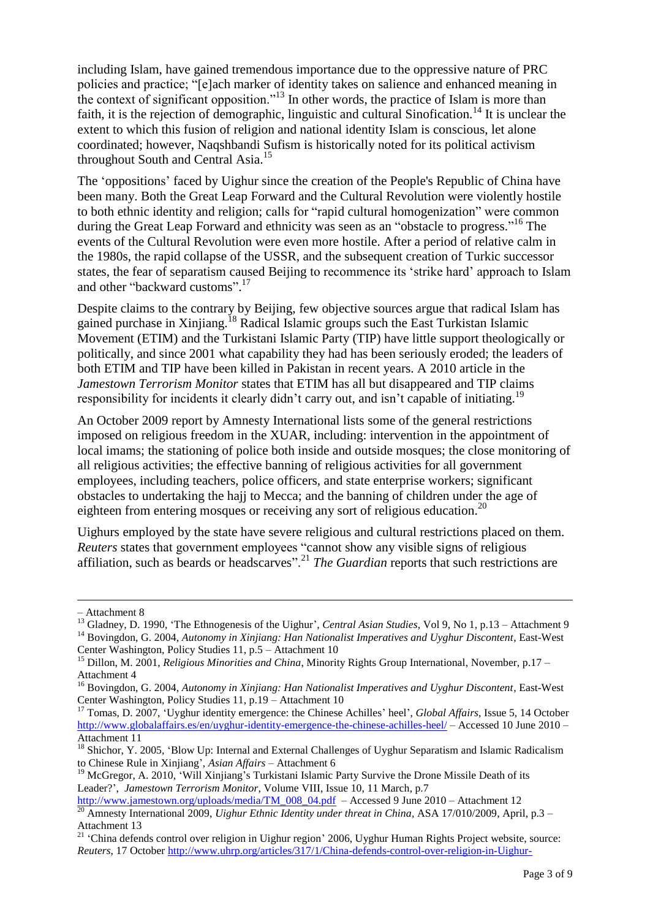including Islam, have gained tremendous importance due to the oppressive nature of PRC policies and practice; "[e]ach marker of identity takes on salience and enhanced meaning in the context of significant opposition."<sup>13</sup> In other words, the practice of Islam is more than faith, it is the rejection of demographic, linguistic and cultural Sinofication.<sup>14</sup> It is unclear the extent to which this fusion of religion and national identity Islam is conscious, let alone coordinated; however, Naqshbandi Sufism is historically noted for its political activism throughout South and Central Asia.<sup>15</sup>

The "oppositions" faced by Uighur since the creation of the People's Republic of China have been many. Both the Great Leap Forward and the Cultural Revolution were violently hostile to both ethnic identity and religion; calls for "rapid cultural homogenization" were common during the Great Leap Forward and ethnicity was seen as an "obstacle to progress."<sup>16</sup> The events of the Cultural Revolution were even more hostile. After a period of relative calm in the 1980s, the rapid collapse of the USSR, and the subsequent creation of Turkic successor states, the fear of separatism caused Beijing to recommence its "strike hard" approach to Islam and other "backward customs".<sup>17</sup>

Despite claims to the contrary by Beijing, few objective sources argue that radical Islam has gained purchase in Xinjiang.<sup>18</sup> Radical Islamic groups such the East Turkistan Islamic Movement (ETIM) and the Turkistani Islamic Party (TIP) have little support theologically or politically, and since 2001 what capability they had has been seriously eroded; the leaders of both ETIM and TIP have been killed in Pakistan in recent years. A 2010 article in the *Jamestown Terrorism Monitor* states that ETIM has all but disappeared and TIP claims responsibility for incidents it clearly didn't carry out, and isn't capable of initiating.<sup>19</sup>

An October 2009 report by Amnesty International lists some of the general restrictions imposed on religious freedom in the XUAR, including: intervention in the appointment of local imams; the stationing of police both inside and outside mosques; the close monitoring of all religious activities; the effective banning of religious activities for all government employees, including teachers, police officers, and state enterprise workers; significant obstacles to undertaking the hajj to Mecca; and the banning of children under the age of eighteen from entering mosques or receiving any sort of religious education.<sup>20</sup>

Uighurs employed by the state have severe religious and cultural restrictions placed on them. *Reuters* states that government employees "cannot show any visible signs of religious affiliation, such as beards or headscarves".<sup>21</sup> *The Guardian* reports that such restrictions are

 $\overline{a}$ 

<sup>–</sup> Attachment 8

<sup>&</sup>lt;sup>13</sup> Gladney, D. 1990, 'The Ethnogenesis of the Uighur', *Central Asian Studies*, Vol 9, No 1, p.13 – Attachment 9 <sup>14</sup> Bovingdon, G. 2004, Autonomy in Xinjiang: Han Nationalist Imperatives and Uyghur Discontent, East-West

Center Washington, Policy Studies 11, p.5 – Attachment 10

<sup>15</sup> Dillon, M. 2001, *Religious Minorities and China*, Minority Rights Group International, November, p.17 – Attachment 4

<sup>&</sup>lt;sup>16</sup> Bovingdon, G. 2004, *Autonomy in Xinjiang: Han Nationalist Imperatives and Uyghur Discontent*, East-West Center Washington, Policy Studies 11, p.19 – Attachment 10

<sup>&</sup>lt;sup>17</sup> Tomas, D. 2007, 'Uyghur identity emergence: the Chinese Achilles' heel', *Global Affairs*, Issue 5, 14 October <http://www.globalaffairs.es/en/uyghur-identity-emergence-the-chinese-achilles-heel/> – Accessed 10 June 2010 – Attachment 11

<sup>&</sup>lt;sup>18</sup> Shichor, Y. 2005, 'Blow Up: Internal and External Challenges of Uyghur Separatism and Islamic Radicalism to Chinese Rule in Xinjiang", *Asian Affairs* – Attachment 6

<sup>&</sup>lt;sup>19</sup> McGregor, A. 2010, 'Will Xinjiang's Turkistani Islamic Party Survive the Drone Missile Death of its Leader?", *Jamestown Terrorism Monitor*, Volume VIII, Issue 10, 11 March, p.7

[http://www.jamestown.org/uploads/media/TM\\_008\\_04.pdf](http://www.jamestown.org/uploads/media/TM_008_04.pdf) – Accessed 9 June 2010 – Attachment 12 <sup>20</sup> Amnesty International 2009, *Uighur Ethnic Identity under threat in China*, ASA 17/010/2009, April, p.3 – Attachment 13

<sup>&</sup>lt;sup>21</sup> 'China defends control over religion in Uighur region' 2006, Uyghur Human Rights Project website, source: *Reuters*, 17 Octobe[r http://www.uhrp.org/articles/317/1/China-defends-control-over-religion-in-Uighur-](http://www.uhrp.org/articles/317/1/China-defends-control-over-religion-in-Uighur-region/China-defends-control-over-religion-in-Uighur-region.html)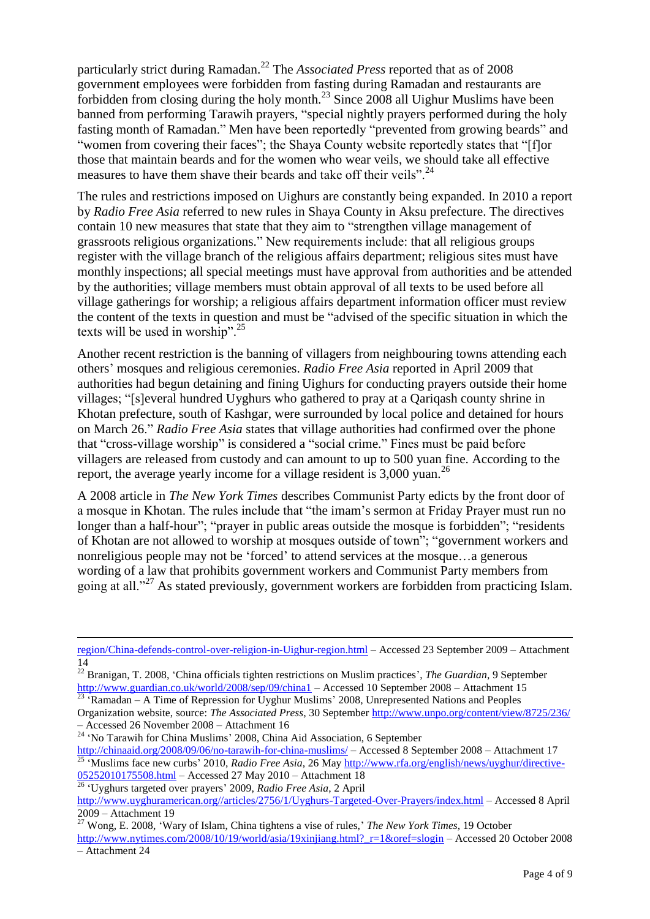particularly strict during Ramadan.<sup>22</sup> The *Associated Press* reported that as of 2008 government employees were forbidden from fasting during Ramadan and restaurants are forbidden from closing during the holy month.<sup>23</sup> Since 2008 all Uighur Muslims have been banned from performing Tarawih prayers, "special nightly prayers performed during the holy fasting month of Ramadan." Men have been reportedly "prevented from growing beards" and "women from covering their faces"; the Shaya County website reportedly states that "[f]or those that maintain beards and for the women who wear veils, we should take all effective measures to have them shave their beards and take off their veils".<sup>24</sup>

The rules and restrictions imposed on Uighurs are constantly being expanded. In 2010 a report by *Radio Free Asia* referred to new rules in Shaya County in Aksu prefecture. The directives contain 10 new measures that state that they aim to "strengthen village management of grassroots religious organizations." New requirements include: that all religious groups register with the village branch of the religious affairs department; religious sites must have monthly inspections; all special meetings must have approval from authorities and be attended by the authorities; village members must obtain approval of all texts to be used before all village gatherings for worship; a religious affairs department information officer must review the content of the texts in question and must be "advised of the specific situation in which the texts will be used in worship".<sup>25</sup>

Another recent restriction is the banning of villagers from neighbouring towns attending each others" mosques and religious ceremonies. *Radio Free Asia* reported in April 2009 that authorities had begun detaining and fining Uighurs for conducting prayers outside their home villages; "[s]everal hundred Uyghurs who gathered to pray at a Qariqash county shrine in Khotan prefecture, south of Kashgar, were surrounded by local police and detained for hours on March 26." *Radio Free Asia* states that village authorities had confirmed over the phone that "cross-village worship" is considered a "social crime." Fines must be paid before villagers are released from custody and can amount to up to 500 yuan fine. According to the report, the average yearly income for a village resident is  $3,000$  yuan.<sup>26</sup>

A 2008 article in *The New York Times* describes Communist Party edicts by the front door of a mosque in Khotan. The rules include that "the imam"s sermon at Friday Prayer must run no longer than a half-hour"; "prayer in public areas outside the mosque is forbidden"; "residents of Khotan are not allowed to worship at mosques outside of town"; "government workers and nonreligious people may not be "forced" to attend services at the mosque…a generous wording of a law that prohibits government workers and Communist Party members from going at all."<sup>27</sup> As stated previously, government workers are forbidden from practicing Islam.

<sup>26</sup> "Uyghurs targeted over prayers" 2009, *Radio Free Asia*, 2 April

 $\overline{a}$ 

[region/China-defends-control-over-religion-in-Uighur-region.html](http://www.uhrp.org/articles/317/1/China-defends-control-over-religion-in-Uighur-region/China-defends-control-over-religion-in-Uighur-region.html) – Accessed 23 September 2009 – Attachment 14

<sup>&</sup>lt;sup>22</sup> Branigan, T. 2008, 'China officials tighten restrictions on Muslim practices', *The Guardian*, 9 September <http://www.guardian.co.uk/world/2008/sep/09/china1> – Accessed 10 September 2008 – Attachment 15

 $\hat{R}$ amadan – A Time of Repression for Uyghur Muslims' 2008, Unrepresented Nations and Peoples Organization website, source: *The Associated Press*, 30 September<http://www.unpo.org/content/view/8725/236/> – Accessed 26 November 2008 – Attachment 16

<sup>&</sup>lt;sup>24</sup> 'No Tarawih for China Muslims' 2008, China Aid Association, 6 September

<http://chinaaid.org/2008/09/06/no-tarawih-for-china-muslims/> – Accessed 8 September 2008 – Attachment 17 <sup>25</sup> 'Muslims face new curbs' 2010, *Radio Free Asia*, 26 Ma[y http://www.rfa.org/english/news/uyghur/directive-](http://www.rfa.org/english/news/uyghur/directive-05252010175508.html)[05252010175508.html](http://www.rfa.org/english/news/uyghur/directive-05252010175508.html) – Accessed 27 May 2010 – Attachment 18

[http://www.uyghuramerican.org//articles/2756/1/Uyghurs-Targeted-Over-Prayers/index.html](http://www.uyghuramerican.org/articles/2756/1/Uyghurs-Targeted-Over-Prayers/index.html) – Accessed 8 April 2009 – Attachment 19

<sup>27</sup> Wong, E. 2008, "Wary of Islam, China tightens a vise of rules," *The New York Times*, 19 October

http://www.nytimes.com/2008/10/19/world/asia/19xinjiang.html? r=1&oref=slogin – Accessed 20 October 2008 – Attachment 24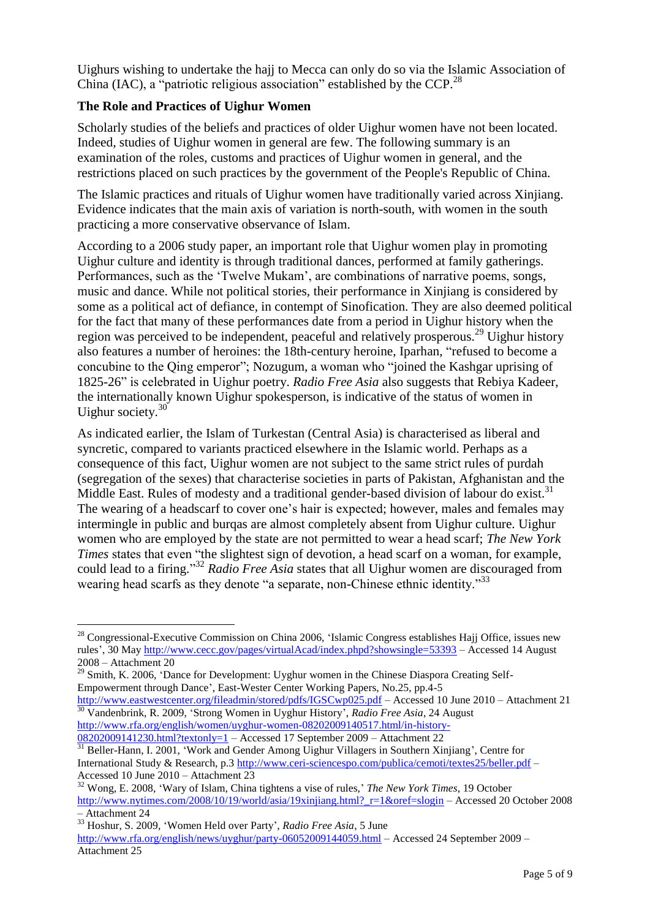Uighurs wishing to undertake the hajj to Mecca can only do so via the Islamic Association of China (IAC), a "patriotic religious association" established by the CCP.<sup>28</sup>

## **The Role and Practices of Uighur Women**

Scholarly studies of the beliefs and practices of older Uighur women have not been located. Indeed, studies of Uighur women in general are few. The following summary is an examination of the roles, customs and practices of Uighur women in general, and the restrictions placed on such practices by the government of the People's Republic of China.

The Islamic practices and rituals of Uighur women have traditionally varied across Xinjiang. Evidence indicates that the main axis of variation is north-south, with women in the south practicing a more conservative observance of Islam.

According to a 2006 study paper, an important role that Uighur women play in promoting Uighur culture and identity is through traditional dances, performed at family gatherings. Performances, such as the "Twelve Mukam", are combinations of narrative poems, songs, music and dance. While not political stories, their performance in Xinjiang is considered by some as a political act of defiance, in contempt of Sinofication. They are also deemed political for the fact that many of these performances date from a period in Uighur history when the region was perceived to be independent, peaceful and relatively prosperous.<sup>29</sup> Uighur history also features a number of heroines: the 18th-century heroine, Iparhan, "refused to become a concubine to the Qing emperor"; Nozugum, a woman who "joined the Kashgar uprising of 1825-26" is celebrated in Uighur poetry. *Radio Free Asia* also suggests that Rebiya Kadeer, the internationally known Uighur spokesperson, is indicative of the status of women in Uighur society.<sup>30</sup>

As indicated earlier, the Islam of Turkestan (Central Asia) is characterised as liberal and syncretic, compared to variants practiced elsewhere in the Islamic world. Perhaps as a consequence of this fact, Uighur women are not subject to the same strict rules of purdah (segregation of the sexes) that characterise societies in parts of Pakistan, Afghanistan and the Middle East. Rules of modesty and a traditional gender-based division of labour do exist.<sup>31</sup> The wearing of a headscarf to cover one's hair is expected; however, males and females may intermingle in public and burqas are almost completely absent from Uighur culture. Uighur women who are employed by the state are not permitted to wear a head scarf; *The New York Times* states that even "the slightest sign of devotion, a head scarf on a woman, for example, could lead to a firing." <sup>32</sup> *Radio Free Asia* states that all Uighur women are discouraged from wearing head scarfs as they denote "a separate, non-Chinese ethnic identity."<sup>33</sup>

 $\overline{a}$ 

 $^{28}$  Congressional-Executive Commission on China 2006, 'Islamic Congress establishes Hajj Office, issues new rules", 30 May<http://www.cecc.gov/pages/virtualAcad/index.phpd?showsingle=53393> – Accessed 14 August 2008 – Attachment 20

<sup>&</sup>lt;sup>29</sup> Smith, K. 2006, 'Dance for Development: Uyghur women in the Chinese Diaspora Creating Self-Empowerment through Dance", East-Wester Center Working Papers, No.25, pp.4-5

<http://www.eastwestcenter.org/fileadmin/stored/pdfs/IGSCwp025.pdf> – Accessed 10 June 2010 – Attachment 21 <sup>30</sup> Vandenbrink, R. 2009, 'Strong Women in Uyghur History', *Radio Free Asia*, 24 August [http://www.rfa.org/english/women/uyghur-women-08202009140517.html/in-history-](http://www.rfa.org/english/women/uyghur-women-08202009140517.html/in-history-08202009141230.html?textonly=1)

[<sup>08202009141230.</sup>html?textonly=1](http://www.rfa.org/english/women/uyghur-women-08202009140517.html/in-history-08202009141230.html?textonly=1) – Accessed 17 September 2009 – Attachment 22

<sup>&</sup>lt;sup>31</sup> Beller-Hann, I. 2001, 'Work and Gender Among Uighur Villagers in Southern Xinjiang', Centre for International Study & Research, p.3<http://www.ceri-sciencespo.com/publica/cemoti/textes25/beller.pdf> – Accessed 10 June 2010 – Attachment 23

<sup>32</sup> Wong, E. 2008, "Wary of Islam, China tightens a vise of rules," *The New York Times*, 19 October http://www.nytimes.com/2008/10/19/world/asia/19xinjiang.html? r=1&oref=slogin – Accessed 20 October 2008

<sup>–</sup> Attachment 24

<sup>&</sup>lt;sup>33</sup> Hoshur, S. 2009, 'Women Held over Party', *Radio Free Asia*, 5 June

<http://www.rfa.org/english/news/uyghur/party-06052009144059.html> – Accessed 24 September 2009 – Attachment 25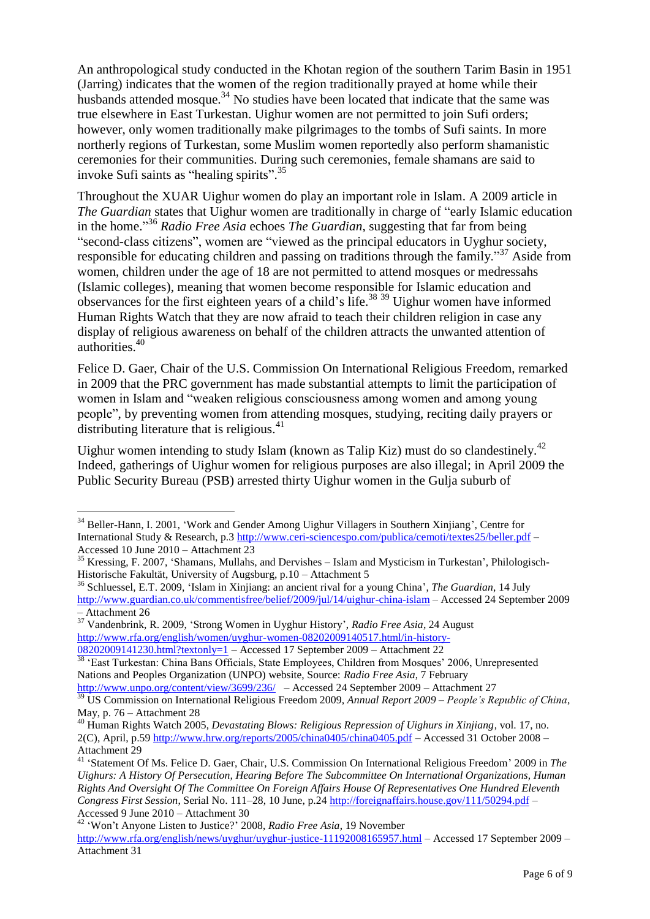An anthropological study conducted in the Khotan region of the southern Tarim Basin in 1951 (Jarring) indicates that the women of the region traditionally prayed at home while their husbands attended mosque.<sup>34</sup> No studies have been located that indicate that the same was true elsewhere in East Turkestan. Uighur women are not permitted to join Sufi orders; however, only women traditionally make pilgrimages to the tombs of Sufi saints. In more northerly regions of Turkestan, some Muslim women reportedly also perform shamanistic ceremonies for their communities. During such ceremonies, female shamans are said to invoke Sufi saints as "healing spirits". 35

Throughout the XUAR Uighur women do play an important role in Islam. A 2009 article in *The Guardian* states that Uighur women are traditionally in charge of "early Islamic education in the home." <sup>36</sup> *Radio Free Asia* echoes *The Guardian*, suggesting that far from being "second-class citizens", women are "viewed as the principal educators in Uyghur society, responsible for educating children and passing on traditions through the family."<sup>37</sup> Aside from women, children under the age of 18 are not permitted to attend mosques or medressahs (Islamic colleges), meaning that women become responsible for Islamic education and observances for the first eighteen years of a child's life.<sup>38 39</sup> Uighur women have informed Human Rights Watch that they are now afraid to teach their children religion in case any display of religious awareness on behalf of the children attracts the unwanted attention of authorities.<sup>40</sup>

Felice D. Gaer, Chair of the U.S. Commission On International Religious Freedom, remarked in 2009 that the PRC government has made substantial attempts to limit the participation of women in Islam and "weaken religious consciousness among women and among young people", by preventing women from attending mosques, studying, reciting daily prayers or distributing literature that is religious. $41$ 

Uighur women intending to study Islam (known as Talip Kiz) must do so clandestinely.<sup>42</sup> Indeed, gatherings of Uighur women for religious purposes are also illegal; in April 2009 the Public Security Bureau (PSB) arrested thirty Uighur women in the Gulja suburb of

<sup>38</sup> 'East Turkestan: China Bans Officials, State Employees, Children from Mosques' 2006, Unrepresented Nations and Peoples Organization (UNPO) website, Source: *Radio Free Asia*, 7 February

 $\overline{a}$ 

<sup>42</sup> "Won"t Anyone Listen to Justice?" 2008, *Radio Free Asia*, 19 November

<sup>&</sup>lt;sup>34</sup> Beller-Hann, I. 2001, 'Work and Gender Among Uighur Villagers in Southern Xinjiang', Centre for International Study & Research, p.3<http://www.ceri-sciencespo.com/publica/cemoti/textes25/beller.pdf> – Accessed 10 June 2010 – Attachment 23

<sup>&</sup>lt;sup>35</sup> Kressing, F. 2007, 'Shamans, Mullahs, and Dervishes – Islam and Mysticism in Turkestan', Philologisch-Historische Fakultät, University of Augsburg, p.10 – Attachment 5

<sup>&</sup>lt;sup>36</sup> Schluessel, E.T. 2009, 'Islam in Xinjiang: an ancient rival for a young China', *The Guardian*, 14 July <http://www.guardian.co.uk/commentisfree/belief/2009/jul/14/uighur-china-islam> – Accessed 24 September 2009 – Attachment 26

<sup>&</sup>lt;sup>37</sup> Vandenbrink, R. 2009, 'Strong Women in Uyghur History', *Radio Free Asia*, 24 August [http://www.rfa.org/english/women/uyghur-women-08202009140517.html/in-history-](http://www.rfa.org/english/women/uyghur-women-08202009140517.html/in-history-08202009141230.html?textonly=1)[08202009141230.html?textonly=1](http://www.rfa.org/english/women/uyghur-women-08202009140517.html/in-history-08202009141230.html?textonly=1) – Accessed 17 September 2009 – Attachment 22

<http://www.unpo.org/content/view/3699/236/>– Accessed 24 September 2009 – Attachment 27 <sup>39</sup> US Commission on International Religious Freedom 2009, *Annual Report 2009 – People's Republic of China*,

May, p. 76 – Attachment 28

<sup>40</sup> Human Rights Watch 2005, *Devastating Blows: Religious Repression of Uighurs in Xinjiang*, vol. 17, no. 2(C), April, p.59<http://www.hrw.org/reports/2005/china0405/china0405.pdf> – Accessed 31 October 2008 – Attachment 29

<sup>41</sup> "Statement Of Ms. Felice D. Gaer, Chair, U.S. Commission On International Religious Freedom" 2009 in *The Uighurs: A History Of Persecution, Hearing Before The Subcommittee On International Organizations, Human Rights And Oversight Of The Committee On Foreign Affairs House Of Representatives One Hundred Eleventh Congress First Session*, Serial No. 111–28, 10 June, p.24<http://foreignaffairs.house.gov/111/50294.pdf> – Accessed 9 June 2010 – Attachment 30

<http://www.rfa.org/english/news/uyghur/uyghur-justice-11192008165957.html> – Accessed 17 September 2009 – Attachment 31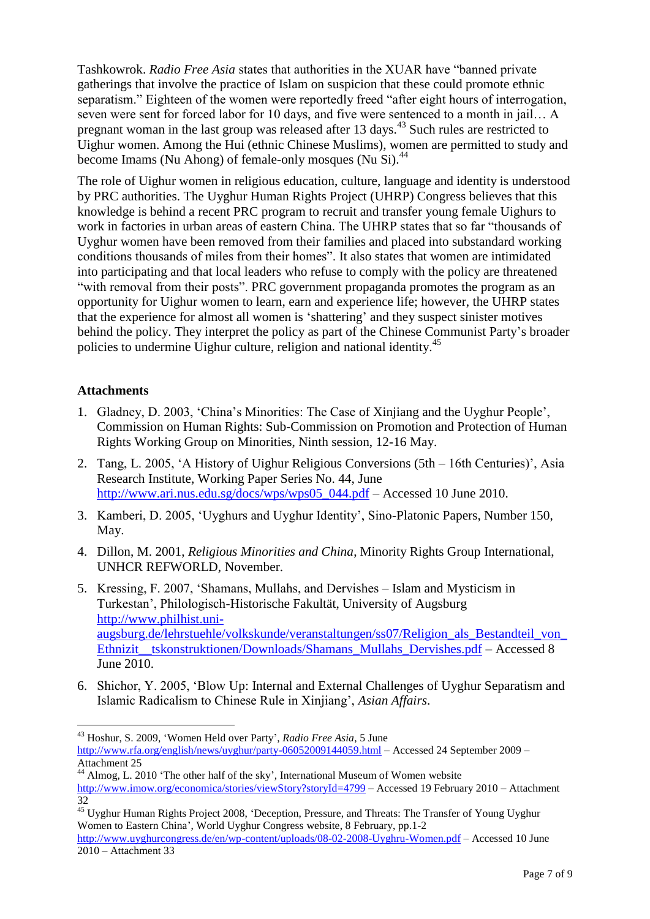Tashkowrok. *Radio Free Asia* states that authorities in the XUAR have "banned private gatherings that involve the practice of Islam on suspicion that these could promote ethnic separatism." Eighteen of the women were reportedly freed "after eight hours of interrogation, seven were sent for forced labor for 10 days, and five were sentenced to a month in jail… A pregnant woman in the last group was released after 13 days.<sup>43</sup> Such rules are restricted to Uighur women. Among the Hui (ethnic Chinese Muslims), women are permitted to study and become Imams (Nu Ahong) of female-only mosques (Nu Si).<sup>44</sup>

The role of Uighur women in religious education, culture, language and identity is understood by PRC authorities. The Uyghur Human Rights Project (UHRP) Congress believes that this knowledge is behind a recent PRC program to recruit and transfer young female Uighurs to work in factories in urban areas of eastern China. The UHRP states that so far "thousands of Uyghur women have been removed from their families and placed into substandard working conditions thousands of miles from their homes". It also states that women are intimidated into participating and that local leaders who refuse to comply with the policy are threatened "with removal from their posts". PRC government propaganda promotes the program as an opportunity for Uighur women to learn, earn and experience life; however, the UHRP states that the experience for almost all women is "shattering" and they suspect sinister motives behind the policy. They interpret the policy as part of the Chinese Communist Party"s broader policies to undermine Uighur culture, religion and national identity.<sup>45</sup>

## **Attachments**

- 1. Gladney, D. 2003, "China"s Minorities: The Case of Xinjiang and the Uyghur People", Commission on Human Rights: Sub-Commission on Promotion and Protection of Human Rights Working Group on Minorities, Ninth session, 12-16 May.
- 2. Tang, L. 2005, "A History of Uighur Religious Conversions (5th 16th Centuries)", Asia Research Institute, Working Paper Series No. 44, June [http://www.ari.nus.edu.sg/docs/wps/wps05\\_044.pdf](http://www.ari.nus.edu.sg/docs/wps/wps05_044.pdf) – Accessed 10 June 2010.
- 3. Kamberi, D. 2005, "Uyghurs and Uyghur Identity", Sino-Platonic Papers, Number 150, May.
- 4. Dillon, M. 2001, *Religious Minorities and China*, Minority Rights Group International, UNHCR REFWORLD, November.
- 5. Kressing, F. 2007, "Shamans, Mullahs, and Dervishes Islam and Mysticism in Turkestan", Philologisch-Historische Fakultät, University of Augsburg [http://www.philhist.uni](http://www.philhist.uni-augsburg.de/lehrstuehle/volkskunde/veranstaltungen/ss07/Religion_als_Bestandteil_von_Ethnizit__tskonstruktionen/Downloads/Shamans_Mullahs_Dervishes.pdf)[augsburg.de/lehrstuehle/volkskunde/veranstaltungen/ss07/Religion\\_als\\_Bestandteil\\_von\\_](http://www.philhist.uni-augsburg.de/lehrstuehle/volkskunde/veranstaltungen/ss07/Religion_als_Bestandteil_von_Ethnizit__tskonstruktionen/Downloads/Shamans_Mullahs_Dervishes.pdf) [Ethnizit\\_\\_tskonstruktionen/Downloads/Shamans\\_Mullahs\\_Dervishes.pdf](http://www.philhist.uni-augsburg.de/lehrstuehle/volkskunde/veranstaltungen/ss07/Religion_als_Bestandteil_von_Ethnizit__tskonstruktionen/Downloads/Shamans_Mullahs_Dervishes.pdf) – Accessed 8 June 2010.
- 6. Shichor, Y. 2005, "Blow Up: Internal and External Challenges of Uyghur Separatism and Islamic Radicalism to Chinese Rule in Xinjiang", *Asian Affairs*.

<sup>43</sup> Hoshur, S. 2009, "Women Held over Party", *Radio Free Asia*, 5 June <http://www.rfa.org/english/news/uyghur/party-06052009144059.html> – Accessed 24 September 2009 – Attachment 25

<sup>44</sup> Almog, L. 2010 "The other half of the sky", International Museum of Women website <http://www.imow.org/economica/stories/viewStory?storyId=4799> – Accessed 19 February 2010 – Attachment 32

<sup>&</sup>lt;sup>45</sup> Uyghur Human Rights Project 2008, 'Deception, Pressure, and Threats: The Transfer of Young Uyghur Women to Eastern China", World Uyghur Congress website, 8 February, pp.1-2

<http://www.uyghurcongress.de/en/wp-content/uploads/08-02-2008-Uyghru-Women.pdf> – Accessed 10 June 2010 – Attachment 33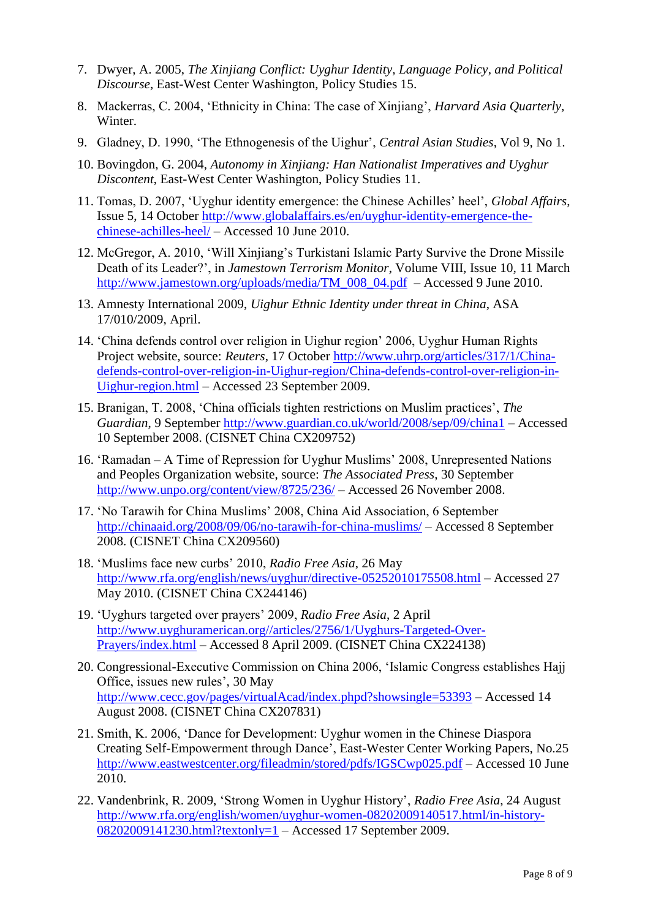- 7. Dwyer, A. 2005, *The Xinjiang Conflict: Uyghur Identity, Language Policy, and Political Discourse*, East-West Center Washington, Policy Studies 15.
- 8. Mackerras, C. 2004, "Ethnicity in China: The case of Xinjiang", *Harvard Asia Quarterly*, Winter.
- 9. Gladney, D. 1990, "The Ethnogenesis of the Uighur", *Central Asian Studies*, Vol 9, No 1.
- 10. Bovingdon, G. 2004, *Autonomy in Xinjiang: Han Nationalist Imperatives and Uyghur Discontent*, East-West Center Washington, Policy Studies 11.
- 11. Tomas, D. 2007, "Uyghur identity emergence: the Chinese Achilles" heel", *Global Affairs*, Issue 5, 14 October [http://www.globalaffairs.es/en/uyghur-identity-emergence-the](http://www.globalaffairs.es/en/uyghur-identity-emergence-the-chinese-achilles-heel/)[chinese-achilles-heel/](http://www.globalaffairs.es/en/uyghur-identity-emergence-the-chinese-achilles-heel/) – Accessed 10 June 2010.
- 12. McGregor, A. 2010, "Will Xinjiang"s Turkistani Islamic Party Survive the Drone Missile Death of its Leader?", in *Jamestown Terrorism Monitor*, Volume VIII, Issue 10, 11 March [http://www.jamestown.org/uploads/media/TM\\_008\\_04.pdf](http://www.jamestown.org/uploads/media/TM_008_04.pdf) – Accessed 9 June 2010.
- 13. Amnesty International 2009, *Uighur Ethnic Identity under threat in China*, ASA 17/010/2009, April.
- 14. "China defends control over religion in Uighur region" 2006, Uyghur Human Rights Project website, source: *Reuters*, 17 October [http://www.uhrp.org/articles/317/1/China](http://www.uhrp.org/articles/317/1/China-defends-control-over-religion-in-Uighur-region/China-defends-control-over-religion-in-Uighur-region.html)[defends-control-over-religion-in-Uighur-region/China-defends-control-over-religion-in-](http://www.uhrp.org/articles/317/1/China-defends-control-over-religion-in-Uighur-region/China-defends-control-over-religion-in-Uighur-region.html)[Uighur-region.html](http://www.uhrp.org/articles/317/1/China-defends-control-over-religion-in-Uighur-region/China-defends-control-over-religion-in-Uighur-region.html) – Accessed 23 September 2009.
- 15. Branigan, T. 2008, "China officials tighten restrictions on Muslim practices", *The Guardian*, 9 September<http://www.guardian.co.uk/world/2008/sep/09/china1> – Accessed 10 September 2008. (CISNET China CX209752)
- 16. "Ramadan A Time of Repression for Uyghur Muslims" 2008, Unrepresented Nations and Peoples Organization website, source: *The Associated Press*, 30 September <http://www.unpo.org/content/view/8725/236/> – Accessed 26 November 2008.
- 17. "No Tarawih for China Muslims" 2008, China Aid Association, 6 September <http://chinaaid.org/2008/09/06/no-tarawih-for-china-muslims/> – Accessed 8 September 2008. (CISNET China CX209560)
- 18. "Muslims face new curbs" 2010, *Radio Free Asia*, 26 May <http://www.rfa.org/english/news/uyghur/directive-05252010175508.html> – Accessed 27 May 2010. (CISNET China CX244146)
- 19. "Uyghurs targeted over prayers" 2009, *Radio Free Asia*, 2 April [http://www.uyghuramerican.org//articles/2756/1/Uyghurs-Targeted-Over-](http://www.uyghuramerican.org/articles/2756/1/Uyghurs-Targeted-Over-Prayers/index.html)[Prayers/index.html](http://www.uyghuramerican.org/articles/2756/1/Uyghurs-Targeted-Over-Prayers/index.html) – Accessed 8 April 2009. (CISNET China CX224138)
- 20. Congressional-Executive Commission on China 2006, "Islamic Congress establishes Hajj Office, issues new rules', 30 May <http://www.cecc.gov/pages/virtualAcad/index.phpd?showsingle=53393> – Accessed 14 August 2008. (CISNET China CX207831)
- 21. Smith, K. 2006, "Dance for Development: Uyghur women in the Chinese Diaspora Creating Self-Empowerment through Dance", East-Wester Center Working Papers, No.25 <http://www.eastwestcenter.org/fileadmin/stored/pdfs/IGSCwp025.pdf> – Accessed 10 June 2010.
- 22. Vandenbrink, R. 2009, "Strong Women in Uyghur History", *Radio Free Asia*, 24 August [http://www.rfa.org/english/women/uyghur-women-08202009140517.html/in-history-](http://www.rfa.org/english/women/uyghur-women-08202009140517.html/in-history-08202009141230.html?textonly=1)[08202009141230.html?textonly=1](http://www.rfa.org/english/women/uyghur-women-08202009140517.html/in-history-08202009141230.html?textonly=1) – Accessed 17 September 2009.